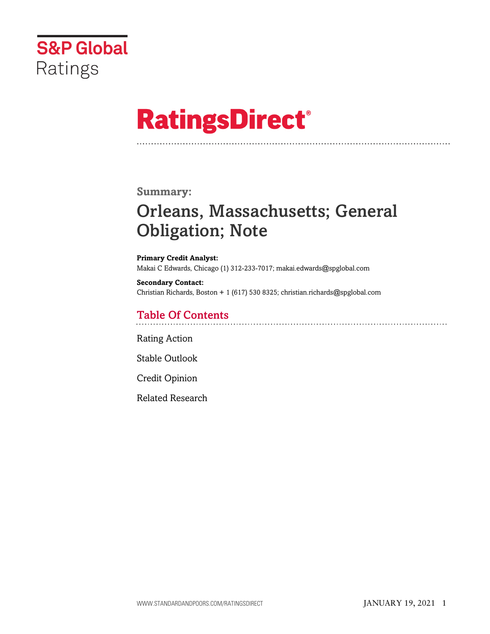

# **RatingsDirect®**

## **Summary:**

## Orleans, Massachusetts; General Obligation; Note

**Primary Credit Analyst:** Makai C Edwards, Chicago (1) 312-233-7017; makai.edwards@spglobal.com

**Secondary Contact:** Christian Richards, Boston + 1 (617) 530 8325; christian.richards@spglobal.com

## Table Of Contents

[Rating Action](#page-1-0)

[Stable Outlook](#page-3-0)

[Credit Opinion](#page-3-1)

[Related Research](#page-6-0)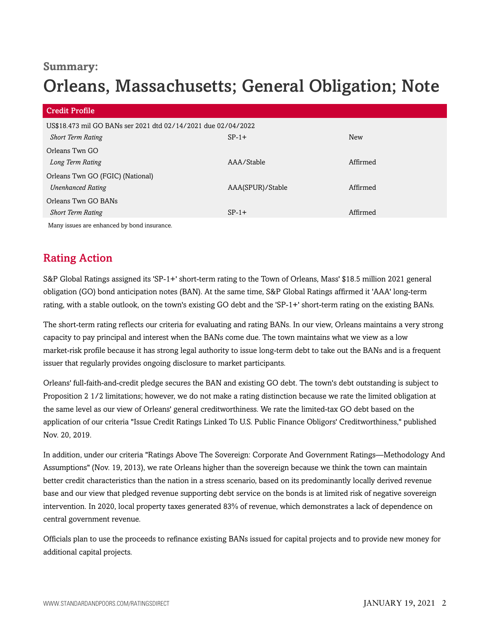## **Summary:**

## Orleans, Massachusetts; General Obligation; Note

| <b>Credit Profile</b>                                         |                  |          |
|---------------------------------------------------------------|------------------|----------|
| US\$18.473 mil GO BANs ser 2021 dtd 02/14/2021 due 02/04/2022 |                  |          |
| <b>Short Term Rating</b>                                      | $SP-1+$          | New      |
| Orleans Twn GO                                                |                  |          |
| Long Term Rating                                              | AAA/Stable       | Affirmed |
| Orleans Twn GO (FGIC) (National)                              |                  |          |
| <b>Unenhanced Rating</b>                                      | AAA(SPUR)/Stable | Affirmed |
| Orleans Twn GO BANs                                           |                  |          |
| <b>Short Term Rating</b>                                      | $SP-1+$          | Affirmed |
| Many issues are enhanced by bond insurance.                   |                  |          |

## <span id="page-1-0"></span>Rating Action

S&P Global Ratings assigned its 'SP-1+' short-term rating to the Town of Orleans, Mass' \$18.5 million 2021 general obligation (GO) bond anticipation notes (BAN). At the same time, S&P Global Ratings affirmed it 'AAA' long-term rating, with a stable outlook, on the town's existing GO debt and the 'SP-1+' short-term rating on the existing BANs.

The short-term rating reflects our criteria for evaluating and rating BANs. In our view, Orleans maintains a very strong capacity to pay principal and interest when the BANs come due. The town maintains what we view as a low market-risk profile because it has strong legal authority to issue long-term debt to take out the BANs and is a frequent issuer that regularly provides ongoing disclosure to market participants.

Orleans' full-faith-and-credit pledge secures the BAN and existing GO debt. The town's debt outstanding is subject to Proposition 2 1/2 limitations; however, we do not make a rating distinction because we rate the limited obligation at the same level as our view of Orleans' general creditworthiness. We rate the limited-tax GO debt based on the application of our criteria "Issue Credit Ratings Linked To U.S. Public Finance Obligors' Creditworthiness," published Nov. 20, 2019.

In addition, under our criteria "Ratings Above The Sovereign: Corporate And Government Ratings—Methodology And Assumptions" (Nov. 19, 2013), we rate Orleans higher than the sovereign because we think the town can maintain better credit characteristics than the nation in a stress scenario, based on its predominantly locally derived revenue base and our view that pledged revenue supporting debt service on the bonds is at limited risk of negative sovereign intervention. In 2020, local property taxes generated 83% of revenue, which demonstrates a lack of dependence on central government revenue.

Officials plan to use the proceeds to refinance existing BANs issued for capital projects and to provide new money for additional capital projects.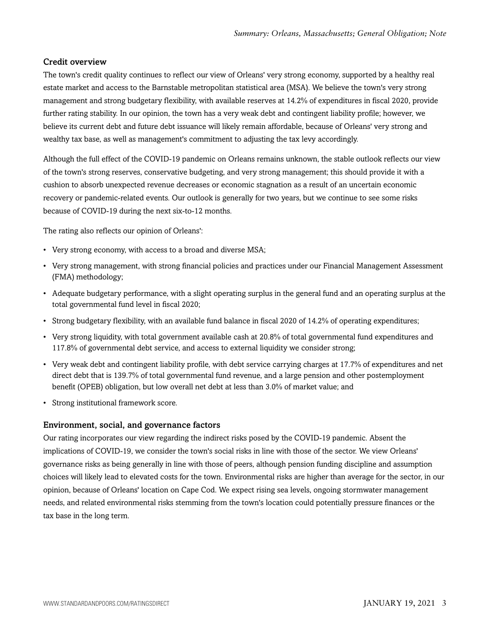## Credit overview

The town's credit quality continues to reflect our view of Orleans' very strong economy, supported by a healthy real estate market and access to the Barnstable metropolitan statistical area (MSA). We believe the town's very strong management and strong budgetary flexibility, with available reserves at 14.2% of expenditures in fiscal 2020, provide further rating stability. In our opinion, the town has a very weak debt and contingent liability profile; however, we believe its current debt and future debt issuance will likely remain affordable, because of Orleans' very strong and wealthy tax base, as well as management's commitment to adjusting the tax levy accordingly.

Although the full effect of the COVID-19 pandemic on Orleans remains unknown, the stable outlook reflects our view of the town's strong reserves, conservative budgeting, and very strong management; this should provide it with a cushion to absorb unexpected revenue decreases or economic stagnation as a result of an uncertain economic recovery or pandemic-related events. Our outlook is generally for two years, but we continue to see some risks because of COVID-19 during the next six-to-12 months.

The rating also reflects our opinion of Orleans':

- Very strong economy, with access to a broad and diverse MSA;
- Very strong management, with strong financial policies and practices under our Financial Management Assessment (FMA) methodology;
- Adequate budgetary performance, with a slight operating surplus in the general fund and an operating surplus at the total governmental fund level in fiscal 2020;
- Strong budgetary flexibility, with an available fund balance in fiscal 2020 of 14.2% of operating expenditures;
- Very strong liquidity, with total government available cash at 20.8% of total governmental fund expenditures and 117.8% of governmental debt service, and access to external liquidity we consider strong;
- Very weak debt and contingent liability profile, with debt service carrying charges at 17.7% of expenditures and net direct debt that is 139.7% of total governmental fund revenue, and a large pension and other postemployment benefit (OPEB) obligation, but low overall net debt at less than 3.0% of market value; and
- Strong institutional framework score.

#### Environment, social, and governance factors

Our rating incorporates our view regarding the indirect risks posed by the COVID-19 pandemic. Absent the implications of COVID-19, we consider the town's social risks in line with those of the sector. We view Orleans' governance risks as being generally in line with those of peers, although pension funding discipline and assumption choices will likely lead to elevated costs for the town. Environmental risks are higher than average for the sector, in our opinion, because of Orleans' location on Cape Cod. We expect rising sea levels, ongoing stormwater management needs, and related environmental risks stemming from the town's location could potentially pressure finances or the tax base in the long term.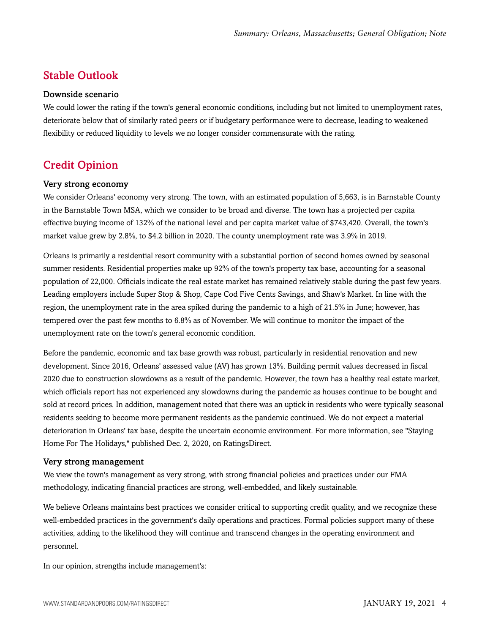## <span id="page-3-0"></span>Stable Outlook

#### Downside scenario

We could lower the rating if the town's general economic conditions, including but not limited to unemployment rates, deteriorate below that of similarly rated peers or if budgetary performance were to decrease, leading to weakened flexibility or reduced liquidity to levels we no longer consider commensurate with the rating.

## <span id="page-3-1"></span>Credit Opinion

#### Very strong economy

We consider Orleans' economy very strong. The town, with an estimated population of 5,663, is in Barnstable County in the Barnstable Town MSA, which we consider to be broad and diverse. The town has a projected per capita effective buying income of 132% of the national level and per capita market value of \$743,420. Overall, the town's market value grew by 2.8%, to \$4.2 billion in 2020. The county unemployment rate was 3.9% in 2019.

Orleans is primarily a residential resort community with a substantial portion of second homes owned by seasonal summer residents. Residential properties make up 92% of the town's property tax base, accounting for a seasonal population of 22,000. Officials indicate the real estate market has remained relatively stable during the past few years. Leading employers include Super Stop & Shop, Cape Cod Five Cents Savings, and Shaw's Market. In line with the region, the unemployment rate in the area spiked during the pandemic to a high of 21.5% in June; however, has tempered over the past few months to 6.8% as of November. We will continue to monitor the impact of the unemployment rate on the town's general economic condition.

Before the pandemic, economic and tax base growth was robust, particularly in residential renovation and new development. Since 2016, Orleans' assessed value (AV) has grown 13%. Building permit values decreased in fiscal 2020 due to construction slowdowns as a result of the pandemic. However, the town has a healthy real estate market, which officials report has not experienced any slowdowns during the pandemic as houses continue to be bought and sold at record prices. In addition, management noted that there was an uptick in residents who were typically seasonal residents seeking to become more permanent residents as the pandemic continued. We do not expect a material deterioration in Orleans' tax base, despite the uncertain economic environment. For more information, see "Staying Home For The Holidays," published Dec. 2, 2020, on RatingsDirect.

#### Very strong management

We view the town's management as very strong, with strong financial policies and practices under our FMA methodology, indicating financial practices are strong, well-embedded, and likely sustainable.

We believe Orleans maintains best practices we consider critical to supporting credit quality, and we recognize these well-embedded practices in the government's daily operations and practices. Formal policies support many of these activities, adding to the likelihood they will continue and transcend changes in the operating environment and personnel.

In our opinion, strengths include management's: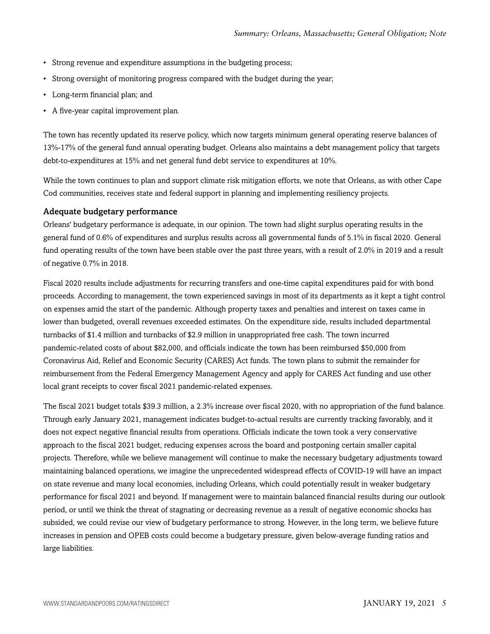- Strong revenue and expenditure assumptions in the budgeting process;
- Strong oversight of monitoring progress compared with the budget during the year;
- Long-term financial plan; and
- A five-year capital improvement plan.

The town has recently updated its reserve policy, which now targets minimum general operating reserve balances of 13%-17% of the general fund annual operating budget. Orleans also maintains a debt management policy that targets debt-to-expenditures at 15% and net general fund debt service to expenditures at 10%.

While the town continues to plan and support climate risk mitigation efforts, we note that Orleans, as with other Cape Cod communities, receives state and federal support in planning and implementing resiliency projects.

#### Adequate budgetary performance

Orleans' budgetary performance is adequate, in our opinion. The town had slight surplus operating results in the general fund of 0.6% of expenditures and surplus results across all governmental funds of 5.1% in fiscal 2020. General fund operating results of the town have been stable over the past three years, with a result of 2.0% in 2019 and a result of negative 0.7% in 2018.

Fiscal 2020 results include adjustments for recurring transfers and one-time capital expenditures paid for with bond proceeds. According to management, the town experienced savings in most of its departments as it kept a tight control on expenses amid the start of the pandemic. Although property taxes and penalties and interest on taxes came in lower than budgeted, overall revenues exceeded estimates. On the expenditure side, results included departmental turnbacks of \$1.4 million and turnbacks of \$2.9 million in unappropriated free cash. The town incurred pandemic-related costs of about \$82,000, and officials indicate the town has been reimbursed \$50,000 from Coronavirus Aid, Relief and Economic Security (CARES) Act funds. The town plans to submit the remainder for reimbursement from the Federal Emergency Management Agency and apply for CARES Act funding and use other local grant receipts to cover fiscal 2021 pandemic-related expenses.

The fiscal 2021 budget totals \$39.3 million, a 2.3% increase over fiscal 2020, with no appropriation of the fund balance. Through early January 2021, management indicates budget-to-actual results are currently tracking favorably, and it does not expect negative financial results from operations. Officials indicate the town took a very conservative approach to the fiscal 2021 budget, reducing expenses across the board and postponing certain smaller capital projects. Therefore, while we believe management will continue to make the necessary budgetary adjustments toward maintaining balanced operations, we imagine the unprecedented widespread effects of COVID-19 will have an impact on state revenue and many local economies, including Orleans, which could potentially result in weaker budgetary performance for fiscal 2021 and beyond. If management were to maintain balanced financial results during our outlook period, or until we think the threat of stagnating or decreasing revenue as a result of negative economic shocks has subsided, we could revise our view of budgetary performance to strong. However, in the long term, we believe future increases in pension and OPEB costs could become a budgetary pressure, given below-average funding ratios and large liabilities.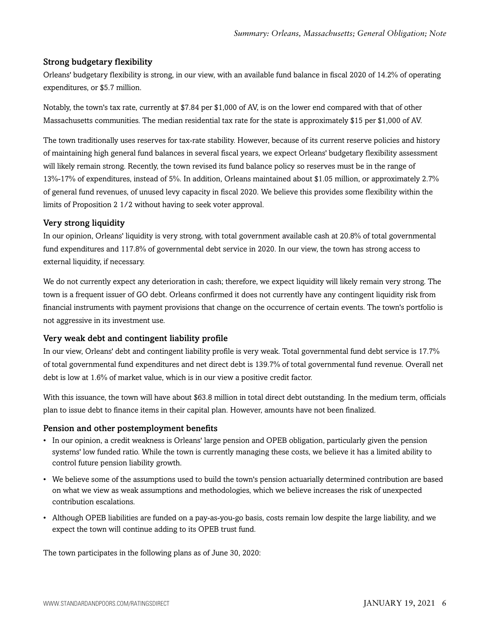## Strong budgetary flexibility

Orleans' budgetary flexibility is strong, in our view, with an available fund balance in fiscal 2020 of 14.2% of operating expenditures, or \$5.7 million.

Notably, the town's tax rate, currently at \$7.84 per \$1,000 of AV, is on the lower end compared with that of other Massachusetts communities. The median residential tax rate for the state is approximately \$15 per \$1,000 of AV.

The town traditionally uses reserves for tax-rate stability. However, because of its current reserve policies and history of maintaining high general fund balances in several fiscal years, we expect Orleans' budgetary flexibility assessment will likely remain strong. Recently, the town revised its fund balance policy so reserves must be in the range of 13%-17% of expenditures, instead of 5%. In addition, Orleans maintained about \$1.05 million, or approximately 2.7% of general fund revenues, of unused levy capacity in fiscal 2020. We believe this provides some flexibility within the limits of Proposition 2 1/2 without having to seek voter approval.

## Very strong liquidity

In our opinion, Orleans' liquidity is very strong, with total government available cash at 20.8% of total governmental fund expenditures and 117.8% of governmental debt service in 2020. In our view, the town has strong access to external liquidity, if necessary.

We do not currently expect any deterioration in cash; therefore, we expect liquidity will likely remain very strong. The town is a frequent issuer of GO debt. Orleans confirmed it does not currently have any contingent liquidity risk from financial instruments with payment provisions that change on the occurrence of certain events. The town's portfolio is not aggressive in its investment use.

## Very weak debt and contingent liability profile

In our view, Orleans' debt and contingent liability profile is very weak. Total governmental fund debt service is 17.7% of total governmental fund expenditures and net direct debt is 139.7% of total governmental fund revenue. Overall net debt is low at 1.6% of market value, which is in our view a positive credit factor.

With this issuance, the town will have about \$63.8 million in total direct debt outstanding. In the medium term, officials plan to issue debt to finance items in their capital plan. However, amounts have not been finalized.

## Pension and other postemployment benefits

- In our opinion, a credit weakness is Orleans' large pension and OPEB obligation, particularly given the pension systems' low funded ratio. While the town is currently managing these costs, we believe it has a limited ability to control future pension liability growth.
- We believe some of the assumptions used to build the town's pension actuarially determined contribution are based on what we view as weak assumptions and methodologies, which we believe increases the risk of unexpected contribution escalations.
- Although OPEB liabilities are funded on a pay-as-you-go basis, costs remain low despite the large liability, and we expect the town will continue adding to its OPEB trust fund.

The town participates in the following plans as of June 30, 2020: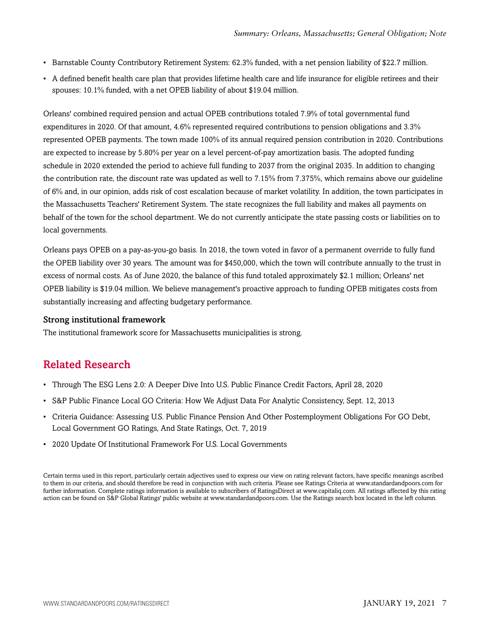- Barnstable County Contributory Retirement System: 62.3% funded, with a net pension liability of \$22.7 million.
- A defined benefit health care plan that provides lifetime health care and life insurance for eligible retirees and their spouses: 10.1% funded, with a net OPEB liability of about \$19.04 million.

Orleans' combined required pension and actual OPEB contributions totaled 7.9% of total governmental fund expenditures in 2020. Of that amount, 4.6% represented required contributions to pension obligations and 3.3% represented OPEB payments. The town made 100% of its annual required pension contribution in 2020. Contributions are expected to increase by 5.80% per year on a level percent-of-pay amortization basis. The adopted funding schedule in 2020 extended the period to achieve full funding to 2037 from the original 2035. In addition to changing the contribution rate, the discount rate was updated as well to 7.15% from 7.375%, which remains above our guideline of 6% and, in our opinion, adds risk of cost escalation because of market volatility. In addition, the town participates in the Massachusetts Teachers' Retirement System. The state recognizes the full liability and makes all payments on behalf of the town for the school department. We do not currently anticipate the state passing costs or liabilities on to local governments.

Orleans pays OPEB on a pay-as-you-go basis. In 2018, the town voted in favor of a permanent override to fully fund the OPEB liability over 30 years. The amount was for \$450,000, which the town will contribute annually to the trust in excess of normal costs. As of June 2020, the balance of this fund totaled approximately \$2.1 million; Orleans' net OPEB liability is \$19.04 million. We believe management's proactive approach to funding OPEB mitigates costs from substantially increasing and affecting budgetary performance.

#### Strong institutional framework

<span id="page-6-0"></span>The institutional framework score for Massachusetts municipalities is strong.

## Related Research

- Through The ESG Lens 2.0: A Deeper Dive Into U.S. Public Finance Credit Factors, April 28, 2020
- S&P Public Finance Local GO Criteria: How We Adjust Data For Analytic Consistency, Sept. 12, 2013
- Criteria Guidance: Assessing U.S. Public Finance Pension And Other Postemployment Obligations For GO Debt, Local Government GO Ratings, And State Ratings, Oct. 7, 2019
- 2020 Update Of Institutional Framework For U.S. Local Governments

Certain terms used in this report, particularly certain adjectives used to express our view on rating relevant factors, have specific meanings ascribed to them in our criteria, and should therefore be read in conjunction with such criteria. Please see Ratings Criteria at www.standardandpoors.com for further information. Complete ratings information is available to subscribers of RatingsDirect at www.capitaliq.com. All ratings affected by this rating action can be found on S&P Global Ratings' public website at www.standardandpoors.com. Use the Ratings search box located in the left column.